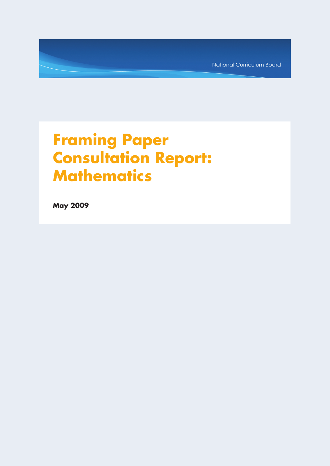National Curriculum Board

# **Framing Paper Consultation Report: Mathematics**

**May 2009**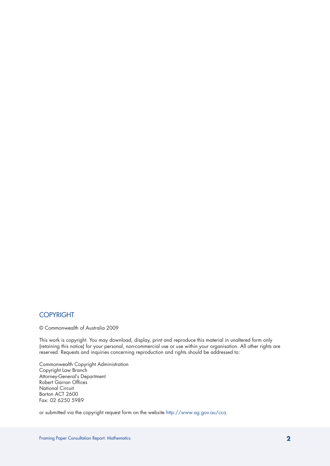## COPYRIGHT

© Commonwealth of Australia 2009

This work is copyright. You may download, display, print and reproduce this material in unaltered form only (retaining this notice) for your personal, non-commercial use or use within your organisation. All other rights are reserved. Requests and inquiries concerning reproduction and rights should be addressed to:

Commonwealth Copyright Administration Copyright Law Branch Attorney-General's Department Robert Garran Offices National Circuit Barton ACT 2600 Fax: 02 6250 5989

or submitted via the copyright request form on the website http://www.ag.gov.au/cca.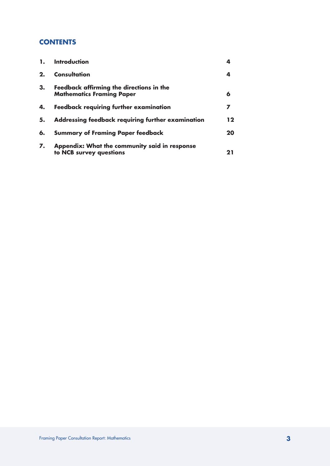## **CONTENTS**

| $\mathbf{1}$ . | <b>Introduction</b>                                                          | 4       |
|----------------|------------------------------------------------------------------------------|---------|
| 2.             | <b>Consultation</b>                                                          | 4       |
| 3.             | Feedback affirming the directions in the<br><b>Mathematics Framing Paper</b> | 6       |
| 4.             | <b>Feedback requiring further examination</b>                                | 7       |
| 5.             | Addressing feedback requiring further examination                            | $12 \,$ |
| 6.             | <b>Summary of Framing Paper feedback</b>                                     | 20      |
| 7.             | Appendix: What the community said in response<br>to NCB survey questions     | 21      |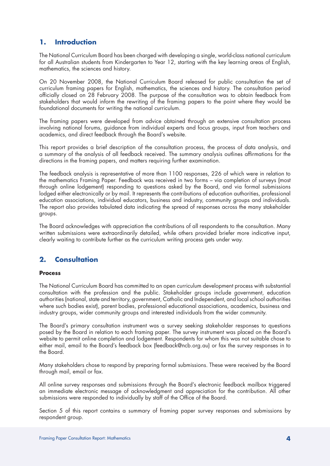## **1. Introduction**

The National Curriculum Board has been charged with developing a single, world-class national curriculum for all Australian students from Kindergarten to Year 12, starting with the key learning areas of English, mathematics, the sciences and history.

On 20 November 2008, the National Curriculum Board released for public consultation the set of curriculum framing papers for English, mathematics, the sciences and history. The consultation period officially closed on 28 February 2008. The purpose of the consultation was to obtain feedback from stakeholders that would inform the rewriting of the framing papers to the point where they would be foundational documents for writing the national curriculum.

The framing papers were developed from advice obtained through an extensive consultation process involving national forums, guidance from individual experts and focus groups, input from teachers and academics, and direct feedback through the Board's website.

This report provides a brief description of the consultation process, the process of data analysis, and a summary of the analysis of all feedback received. The summary analysis outlines affirmations for the directions in the framing papers, and matters requiring further examination.

The feedback analysis is representative of more than 1100 responses, 226 of which were in relation to the mathematics Framing Paper. Feedback was received in two forms – via completion of surveys (most through online lodgement) responding to questions asked by the Board, and via formal submissions lodged either electronically or by mail. It represents the contributions of education authorities, professional education associations, individual educators, business and industry, community groups and individuals. The report also provides tabulated data indicating the spread of responses across the many stakeholder groups.

The Board acknowledges with appreciation the contributions of all respondents to the consultation. Many written submissions were extraordinarily detailed, while others provided briefer more indicative input, clearly waiting to contribute further as the curriculum writing process gets under way.

## **2. Consultation**

## **Process**

The National Curriculum Board has committed to an open curriculum development process with substantial consultation with the profession and the public. Stakeholder groups include government, education authorities (national, state and territory, government, Catholic and Independent, and local school authorities where such bodies exist), parent bodies, professional educational associations, academics, business and industry groups, wider community groups and interested individuals from the wider community.

The Board's primary consultation instrument was a survey seeking stakeholder responses to questions posed by the Board in relation to each framing paper. The survey instrument was placed on the Board's website to permit online completion and lodgement. Respondents for whom this was not suitable chose to either mail, email to the Board's feedback box (feedback@ncb.org.au) or fax the survey responses in to the Board.

Many stakeholders chose to respond by preparing formal submissions. These were received by the Board through mail, email or fax.

All online survey responses and submissions through the Board's electronic feedback mailbox triggered an immediate electronic message of acknowledgment and appreciation for the contribution. All other submissions were responded to individually by staff of the Office of the Board.

Section 5 of this report contains a summary of framing paper survey responses and submissions by respondent group.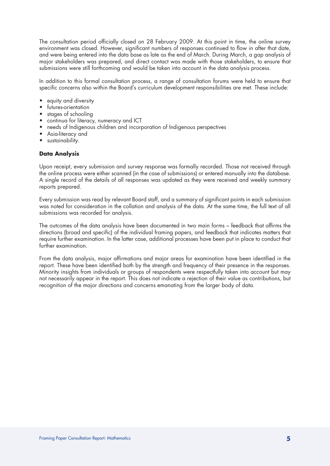The consultation period officially closed on 28 February 2009. At this point in time, the online survey environment was closed. However, significant numbers of responses continued to flow in after that date, and were being entered into the data base as late as the end of March. During March, a gap analysis of major stakeholders was prepared, and direct contact was made with those stakeholders, to ensure that submissions were still forthcoming and would be taken into account in the data analysis process.

In addition to this formal consultation process, a range of consultation forums were held to ensure that specific concerns also within the Board's curriculum development responsibilities are met. These include:

- equity and diversity
- futures-orientation
- stages of schooling
- continua for literacy, numeracy and ICT
- needs of Indigenous children and incorporation of Indigenous perspectives
- Asia-literacy and
- sustainability.

## **Data Analysis**

Upon receipt, every submission and survey response was formally recorded. Those not received through the online process were either scanned (in the case of submissions) or entered manually into the database. A single record of the details of all responses was updated as they were received and weekly summary reports prepared.

Every submission was read by relevant Board staff, and a summary of significant points in each submission was noted for consideration in the collation and analysis of the data. At the same time, the full text of all submissions was recorded for analysis.

The outcomes of the data analysis have been documented in two main forms – feedback that affirms the directions (broad and specific) of the individual framing papers, and feedback that indicates matters that require further examination. In the latter case, additional processes have been put in place to conduct that further examination.

From the data analysis, major affirmations and major areas for examination have been identified in the report. These have been identified both by the strength and frequency of their presence in the responses. Minority insights from individuals or groups of respondents were respectfully taken into account but may not necessarily appear in the report. This does not indicate a rejection of their value as contributions, but recognition of the major directions and concerns emanating from the larger body of data.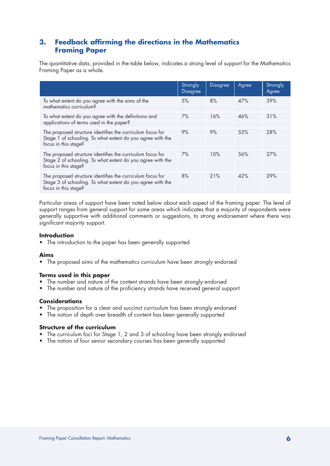## **3. Feedback affirming the directions in the Mathematics Framing Paper**

The quantitative data, provided in the table below, indicates a strong level of support for the Mathematics Framing Paper as a whole.

|                                                                                                                                                  | Strongly<br><b>Disagree</b> | <b>Disagree</b> | Agree | Strongly<br>Agree |
|--------------------------------------------------------------------------------------------------------------------------------------------------|-----------------------------|-----------------|-------|-------------------|
| To what extent do you agree with the aims of the<br>mathematics curriculum?                                                                      | 5%                          | 8%              | 47%   | 39%               |
| To what extent do you agree with the definitions and<br>applications of terms used in the paper?                                                 | 7%                          | 16%             | 46%   | 31%               |
| The proposed structure identifies the curriculum focus for<br>Stage 1 of schooling. To what extent do you agree with the<br>focus in this stage? | 9%                          | 9%              | 53%   | 28%               |
| The proposed structure identifies the curriculum focus for<br>Stage 2 of schooling. To what extent do you agree with the<br>focus in this stage? | $7\%$                       | 10%             | 56%   | 27%               |
| The proposed structure identifies the curriculum focus for<br>Stage 3 of schooling. To what extent do you agree with the<br>focus in this stage? | 8%                          | 21%             | 42%   | 29%               |

Particular areas of support have been noted below about each aspect of the framing paper. The level of support ranges from general support for some areas which indicates that a majority of respondents were generally supportive with additional comments or suggestions, to strong endorsement where there was significant majority support.

## **Introduction**

• The introduction to the paper has been generally supported

## **Aims**

• The proposed aims of the mathematics curriculum have been strongly endorsed

## **Terms used in this paper**

- The number and nature of the content strands have been strongly endorsed
- The number and nature of the proficiency strands have received general support

## **Considerations**

- The proposition for a clear and succinct curriculum has been strongly endorsed
- The notion of depth over breadth of content has been generally supported

## **Structure of the curriculum**

- The curriculum foci for Stage 1, 2 and 3 of schooling have been strongly endorsed
- The notion of four senior secondary courses has been generally supported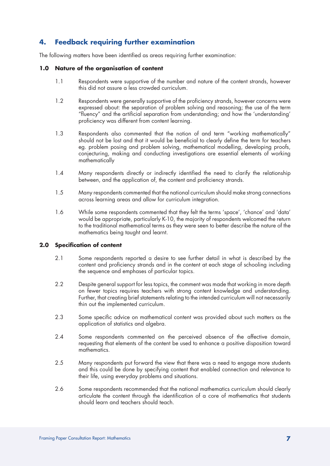## **4. Feedback requiring further examination**

The following matters have been identified as areas requiring further examination:

## **1.0 Nature of the organisation of content**

- 1.1 Respondents were supportive of the number and nature of the content strands, however this did not assure a less crowded curriculum.
- 1.2 Respondents were generally supportive of the proficiency strands, however concerns were expressed about: the separation of problem solving and reasoning; the use of the term "fluency" and the artificial separation from understanding; and how the 'understanding' proficiency was different from content learning.
- 1.3 Respondents also commented that the notion of and term "working mathematically" should not be lost and that it would be beneficial to clearly define the term for teachers eg. problem posing and problem solving, mathematical modelling, developing proofs, conjecturing, making and conducting investigations are essential elements of working mathematically
- 1.4 Many respondents directly or indirectly identified the need to clarify the relationship between, and the application of, the content and proficiency strands.
- 1.5 Many respondents commented that the national curriculum should make strong connections across learning areas and allow for curriculum integration.
- 1.6 While some respondents commented that they felt the terms 'space', 'chance' and 'data' would be appropriate, particularly K-10, the majority of respondents welcomed the return to the traditional mathematical terms as they were seen to better describe the nature of the mathematics being taught and learnt.

## **2.0 Specification of content**

- 2.1 Some respondents reported a desire to see further detail in what is described by the content and proficiency strands and in the content at each stage of schooling including the sequence and emphases of particular topics.
- 2.2 Despite general support for less topics, the comment was made that working in more depth on fewer topics requires teachers with strong content knowledge and understanding. Further, that creating brief statements relating to the intended curriculum will not necessarily thin out the implemented curriculum.
- 2.3 Some specific advice on mathematical content was provided about such matters as the application of statistics and algebra.
- 2.4 Some respondents commented on the perceived absence of the affective domain, requesting that elements of the content be used to enhance a positive disposition toward mathematics.
- 2.5 Many respondents put forward the view that there was a need to engage more students and this could be done by specifying content that enabled connection and relevance to their life, using everyday problems and situations.
- 2.6 Some respondents recommended that the national mathematics curriculum should clearly articulate the content through the identification of a core of mathematics that students should learn and teachers should teach.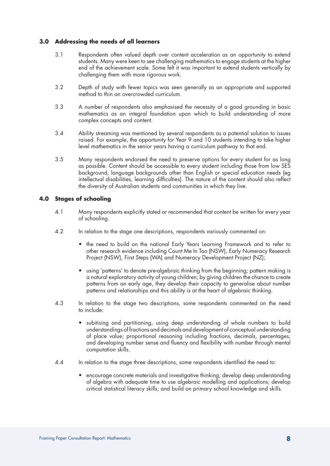## **3.0 Addressing the needs of all learners**

- 3.1 Respondents often valued depth over content acceleration as an opportunity to extend students. Many were keen to see challenging mathematics to engage students at the higher end of the achievement scale. Some felt it was important to extend students vertically by challenging them with more rigorous work.
- 3.2 Depth of study with fewer topics was seen generally as an appropriate and supported method to thin an overcrowded curriculum.
- 3.3 A number of respondents also emphasised the necessity of a good grounding in basic mathematics as an integral foundation upon which to build understanding of more complex concepts and content.
- 3.4 Ability streaming was mentioned by several respondents as a potential solution to issues raised. For example, the opportunity for Year 9 and 10 students intending to take higher level mathematics in the senior years having a curriculum pathway to that end.
- 3.5 Many respondents endorsed the need to preserve options for every student for as long as possible. Content should be accessible to every student including those from low SES background, language backgrounds other than English or special education needs (eg intellectual disabilities, learning difficulties). The nature of the content should also reflect the diversity of Australian students and communities in which they live.

## **4.0 Stages of schooling**

- 4.1 Many respondents explicitly stated or recommended that content be written for every year of schooling.
- 4.2 In relation to the stage one descriptions, respondents variously commented on:
	- the need to build on the national Early Years Learning Framework and to refer to other research evidence including Count Me In Too (NSW), Early Numeracy Research Project (NSW), First Steps (WA) and Numeracy Development Project (NZ);
	- using 'patterns' to denote pre-algebraic thinking from the beginning; pattern making is a natural exploratory activity of young children; by giving children the chance to create patterns from an early age, they develop their capacity to generalise about number patterns and relationships and this ability is at the heart of algebraic thinking.
- 4.3 In relation to the stage two descriptions, some respondents commented on the need to include:
	- subitising and partitioning, using deep understanding of whole numbers to build understandings of fractions and decimals and development of conceptual understanding of place value; proportional reasoning including fractions, decimals, percentages; and developing number sense and fluency and flexibility with number through mental computation skills.
- 4.4 In relation to the stage three descriptions, some respondents identified the need to:
	- encourage concrete materials and investigative thinking; develop deep understanding of algebra with adequate time to use algebraic modelling and applications; develop critical statistical literacy skills; and build on primary school knowledge and skills.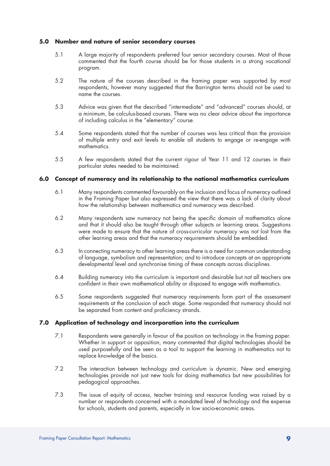## **5.0 Number and nature of senior secondary courses**

- 5.1 A large majority of respondents preferred four senior secondary courses. Most of those commented that the fourth course should be for those students in a strong vocational program.
- 5.2 The nature of the courses described in the framing paper was supported by most respondents, however many suggested that the Barrington terms should not be used to name the courses.
- 5.3 Advice was given that the described "intermediate" and "advanced" courses should, at a minimum, be calculus-based courses. There was no clear advice about the importance of including calculus in the "elementary" course.
- 5.4 Some respondents stated that the number of courses was less critical than the provision of multiple entry and exit levels to enable all students to engage or re-engage with mathematics.
- 5.5 A few respondents stated that the current rigour of Year 11 and 12 courses in their particular states needed to be maintained.

## **6.0 Concept of numeracy and its relationship to the national mathematics curriculum**

- 6.1 Many respondents commented favourably on the inclusion and focus of numeracy outlined in the Framing Paper but also expressed the view that there was a lack of clarity about how the relationship between mathematics and numeracy was described.
- 6.2 Many respondents saw numeracy not being the specific domain of mathematics alone and that it should also be taught through other subjects or learning areas. Suggestions were made to ensure that the nature of cross-curricular numeracy was not lost from the other learning areas and that the numeracy requirements should be embedded.
- 6.3 In connecting numeracy to other learning areas there is a need for common understanding of language, symbolism and representation; and to introduce concepts at an appropriate developmental level and synchronise timing of these concepts across disciplines.
- 6.4 Building numeracy into the curriculum is important and desirable but not all teachers are confident in their own mathematical ability or disposed to engage with mathematics.
- 6.5 Some respondents suggested that numeracy requirements form part of the assessment requirements at the conclusion of each stage. Some responded that numeracy should not be separated from content and proficiency strands.

## **7.0 Application of technology and incorporation into the curriculum**

- 7.1 Respondents were generally in favour of the position on technology in the framing paper. Whether in support or opposition, many commented that digital technologies should be used purposefully and be seen as a tool to support the learning in mathematics not to replace knowledge of the basics.
- 7.2 The interaction between technology and curriculum is dynamic. New and emerging technologies provide not just new tools for doing mathematics but new possibilities for pedagogical approaches.
- 7.3 The issue of equity of access, teacher training and resource funding was raised by a number or respondents concerned with a mandated level of technology and the expense for schools, students and parents, especially in low socio-economic areas.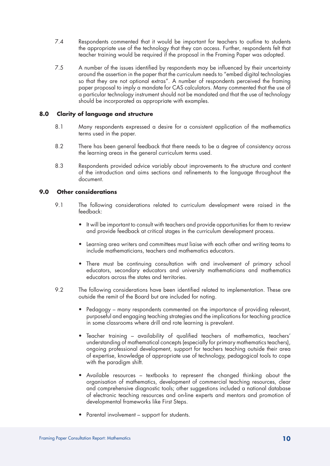- 7.4 Respondents commented that it would be important for teachers to outline to students the appropriate use of the technology that they can access. Further, respondents felt that teacher training would be required if the proposal in the Framing Paper was adopted.
- 7.5 A number of the issues identified by respondents may be influenced by their uncertainty around the assertion in the paper that the curriculum needs to "embed digital technologies so that they are not optional extras". A number of respondents perceived the framing paper proposal to imply a mandate for CAS calculators. Many commented that the use of a particular technology instrument should not be mandated and that the use of technology should be incorporated as appropriate with examples.

## **8.0 Clarity of language and structure**

- 8.1 Many respondents expressed a desire for a consistent application of the mathematics terms used in the paper.
- 8.2 There has been general feedback that there needs to be a degree of consistency across the learning areas in the general curriculum terms used.
- 8.3 Respondents provided advice variably about improvements to the structure and content of the introduction and aims sections and refinements to the language throughout the document.

## **9.0 Other considerations**

- 9.1 The following considerations related to curriculum development were raised in the feedback:
	- • It will be important to consult with teachers and provide opportunities for them to review and provide feedback at critical stages in the curriculum development process.
	- Learning area writers and committees must liaise with each other and writing teams to include mathematicians, teachers and mathematics educators.
	- There must be continuing consultation with and involvement of primary school educators, secondary educators and university mathematicians and mathematics educators across the states and territories.
- 9.2 The following considerations have been identified related to implementation. These are outside the remit of the Board but are included for noting.
	- Pedagogy many respondents commented on the importance of providing relevant, purposeful and engaging teaching strategies and the implications for teaching practice in some classrooms where drill and rote learning is prevalent.
	- Teacher training availability of qualified teachers of mathematics, teachers' understanding of mathematical concepts (especially for primary mathematics teachers), ongoing professional development, support for teachers teaching outside their area of expertise, knowledge of appropriate use of technology, pedagogical tools to cope with the paradigm shift.
	- Available resources textbooks to represent the changed thinking about the organisation of mathematics, development of commercial teaching resources, clear and comprehensive diagnostic tools; other suggestions included a national database of electronic teaching resources and on-line experts and mentors and promotion of developmental frameworks like First Steps.
	- Parental involvement support for students.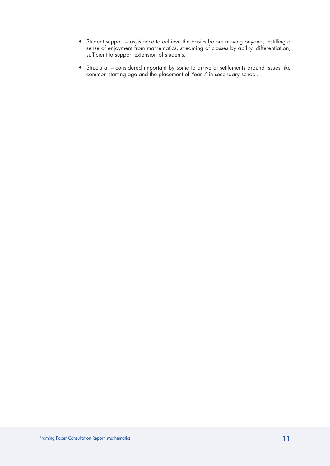- • Student support assistance to achieve the basics before moving beyond, instilling a sense of enjoyment from mathematics, streaming of classes by ability, differentiation, sufficient to support extension of students.
- • Structural considered important by some to arrive at settlements around issues like common starting age and the placement of Year 7 in secondary school.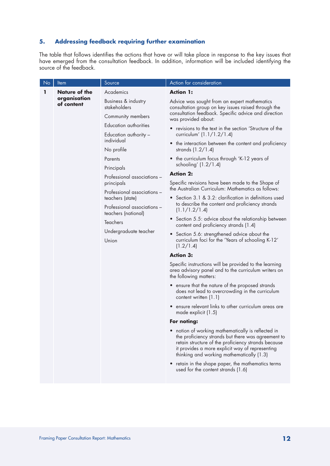## **5. Addressing feedback requiring further examination**

The table that follows identifies the actions that have or will take place in response to the key issues that have emerged from the consultation feedback. In addition, information will be included identifying the source of the feedback.

| No | Item                                                                                                                        | Source                                                                                                                     | Action for consideration                                                                                                                                                                                                                                      |
|----|-----------------------------------------------------------------------------------------------------------------------------|----------------------------------------------------------------------------------------------------------------------------|---------------------------------------------------------------------------------------------------------------------------------------------------------------------------------------------------------------------------------------------------------------|
| ı  | Academics<br><b>Nature of the</b><br>organisation<br>Business & industry<br>of content<br>stakeholders                      |                                                                                                                            | <b>Action 1:</b>                                                                                                                                                                                                                                              |
|    |                                                                                                                             | Advice was sought from an expert mathematics<br>consultation group on key issues raised through the                        |                                                                                                                                                                                                                                                               |
|    |                                                                                                                             | Community members                                                                                                          | consultation feedback. Specific advice and direction<br>was provided about:                                                                                                                                                                                   |
|    |                                                                                                                             | Education authorities<br>Education authority -<br>individual                                                               | • revisions to the text in the section 'Structure of the                                                                                                                                                                                                      |
|    |                                                                                                                             |                                                                                                                            | curriculum' (1.1/1.2/1.4)                                                                                                                                                                                                                                     |
|    |                                                                                                                             | No profile                                                                                                                 | • the interaction between the content and proficiency<br>strands $(1.2/1.4)$                                                                                                                                                                                  |
|    |                                                                                                                             | Parents                                                                                                                    | • the curriculum focus through 'K-12 years of                                                                                                                                                                                                                 |
|    |                                                                                                                             | Principals                                                                                                                 | schooling' $(1.2/1.4)$<br><b>Action 2:</b>                                                                                                                                                                                                                    |
|    |                                                                                                                             | Professional associations -<br>principals                                                                                  | Specific revisions have been made to the Shape of                                                                                                                                                                                                             |
|    |                                                                                                                             | Professional associations -                                                                                                | the Australian Curriculum: Mathematics as follows:                                                                                                                                                                                                            |
|    | teachers (state)<br>Professional associations -<br>teachers (national)<br><b>Teachers</b><br>Undergraduate teacher<br>Union | • Section 3.1 & 3.2: clarification in definitions used<br>to describe the content and proficiency strands<br>(1.1/1.2/1.4) |                                                                                                                                                                                                                                                               |
|    |                                                                                                                             | • Section 5.5: advice about the relationship between<br>content and proficiency strands (1.4)                              |                                                                                                                                                                                                                                                               |
|    |                                                                                                                             | • Section 5.6: strengthened advice about the<br>curriculum foci for the 'Years of schooling K-12'<br>(1.2/1.4)             |                                                                                                                                                                                                                                                               |
|    |                                                                                                                             |                                                                                                                            | <b>Action 3:</b>                                                                                                                                                                                                                                              |
|    |                                                                                                                             |                                                                                                                            | Specific instructions will be provided to the learning<br>area advisory panel and to the curriculum writers on<br>the following matters:                                                                                                                      |
|    |                                                                                                                             |                                                                                                                            | • ensure that the nature of the proposed strands<br>does not lead to overcrowding in the curriculum<br>content written (1.1)                                                                                                                                  |
|    |                                                                                                                             |                                                                                                                            | • ensure relevant links to other curriculum areas are<br>made explicit (1.5)                                                                                                                                                                                  |
|    |                                                                                                                             |                                                                                                                            | For noting:                                                                                                                                                                                                                                                   |
|    |                                                                                                                             |                                                                                                                            | notion of working mathematically is reflected in<br>the proficiency strands but there was agreement to<br>retain structure of the proficiency strands because<br>it provides a more explicit way of representing<br>thinking and working mathematically (1.3) |
|    |                                                                                                                             |                                                                                                                            | retain in the shape paper, the mathematics terms<br>$\bullet$<br>used for the content strands (1.6)                                                                                                                                                           |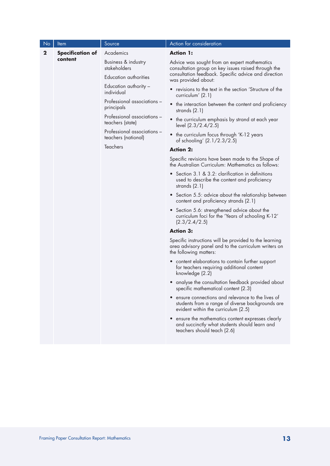| N <sub>o</sub> | <u>Item</u>             | Source                                             | Action for consideration                                                                                                                    |
|----------------|-------------------------|----------------------------------------------------|---------------------------------------------------------------------------------------------------------------------------------------------|
| $\mathbf 2$    | <b>Specification of</b> | Academics                                          | <b>Action 1:</b>                                                                                                                            |
|                | content                 | Business & industry<br>stakeholders                | Advice was sought from an expert mathematics<br>consultation group on key issues raised through the                                         |
|                |                         | Education authorities                              | consultation feedback. Specific advice and direction<br>was provided about:                                                                 |
|                |                         | Education authority -<br>individual                | • revisions to the text in the section 'Structure of the<br>curriculum' $(2.1)$                                                             |
|                |                         | Professional associations -<br>principals          | • the interaction between the content and proficiency<br>strands $(2.1)$                                                                    |
|                |                         | Professional associations -<br>teachers (state)    | • the curriculum emphasis by strand at each year<br>level (2.3/2.4/2.5)                                                                     |
|                |                         | Professional associations -<br>teachers (national) | • the curriculum focus through 'K-12 years<br>of schooling' (2.1/2.3/2.5)                                                                   |
|                |                         | <b>Teachers</b>                                    | <b>Action 2:</b>                                                                                                                            |
|                |                         |                                                    | Specific revisions have been made to the Shape of<br>the Australian Curriculum: Mathematics as follows:                                     |
|                |                         |                                                    | • Section 3.1 & 3.2: clarification in definitions<br>used to describe the content and proficiency<br>strands $(2.1)$                        |
|                |                         |                                                    | • Section 5.5: advice about the relationship between<br>content and proficiency strands (2.1)                                               |
|                |                         |                                                    | • Section 5.6: strengthened advice about the<br>curriculum foci for the 'Years of schooling K-12'<br>(2.3/2.4/2.5)                          |
|                |                         |                                                    | <b>Action 3:</b>                                                                                                                            |
|                |                         |                                                    | Specific instructions will be provided to the learning<br>area advisory panel and to the curriculum writers on<br>the following matters:    |
|                |                         |                                                    | • content elaborations to contain further support<br>for teachers requiring additional content<br>knowledge (2.2)                           |
|                |                         |                                                    | analyse the consultation feedback provided about<br>$\bullet$<br>specific mathematical content (2.3)                                        |
|                |                         |                                                    | ensure connections and relevance to the lives of<br>students from a range of diverse backgrounds are<br>evident within the curriculum (2.5) |
|                |                         |                                                    | • ensure the mathematics content expresses clearly<br>and succinctly what students should learn and<br>teachers should teach (2.6)          |
|                |                         |                                                    |                                                                                                                                             |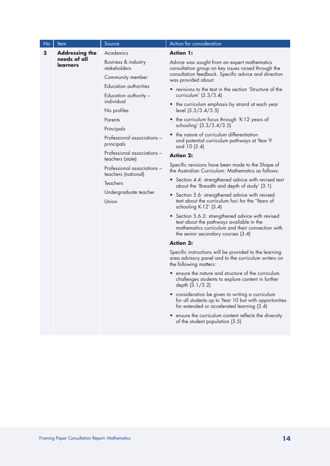| $\overline{\textsf{N}}$ o | Item                            | Source                                             | <b>Action for consideration</b>                                                                                                                                                         |
|---------------------------|---------------------------------|----------------------------------------------------|-----------------------------------------------------------------------------------------------------------------------------------------------------------------------------------------|
| 3                         | <b>Addressing the</b>           | Academics                                          | <b>Action 1:</b>                                                                                                                                                                        |
|                           | needs of all<br><b>learners</b> | Business & industry<br>stakeholders                | Advice was sought from an expert mathematics<br>consultation group on key issues raised through the                                                                                     |
|                           |                                 | Community member<br>Education authorities          | consultation feedback. Specific advice and direction<br>was provided about:                                                                                                             |
|                           |                                 |                                                    | • revisions to the text in the section 'Structure of the                                                                                                                                |
|                           |                                 | Education authority -<br>individual                | curriculum' $(3.3/3.4)$                                                                                                                                                                 |
|                           |                                 | No profiles                                        | • the curriculum emphasis by strand at each year<br>level (3.3/3.4/3.5)                                                                                                                 |
|                           |                                 | Parents                                            | • the curriculum focus through 'K-12 years of                                                                                                                                           |
|                           |                                 | Principals                                         | schooling' (3.3/3.4/3.5)                                                                                                                                                                |
|                           |                                 | Professional associations -<br>principals          | the nature of curriculum differentiation<br>and potential curriculum pathways at Year 9<br>and 10 (3.4)                                                                                 |
|                           |                                 | Professional associations -                        | <b>Action 2:</b>                                                                                                                                                                        |
|                           | teachers (state)                | Professional associations -<br>teachers (national) | Specific revisions have been made to the Shape of<br>the Australian Curriculum: Mathematics as follows:                                                                                 |
|                           |                                 | <b>Teachers</b>                                    | • Section 4.4: strengthened advice with revised text<br>about the 'Breadth and depth of study' (3.1)                                                                                    |
|                           |                                 | Undergraduate teacher<br>Union                     | • Section 5.6: strengthened advice with revised<br>text about the curriculum foci for the 'Years of<br>schooling K-12' (3.4)                                                            |
|                           |                                 |                                                    | • Section 5.6.3: strengthened advice with revised<br>text about the pathways available in the<br>mathematics curriculum and their connection with<br>the senior secondary courses (3.4) |
|                           |                                 |                                                    | <b>Action 3:</b>                                                                                                                                                                        |
|                           |                                 |                                                    | Specific instructions will be provided to the learning<br>area advisory panel and to the curriculum writers on<br>the following matters:                                                |
|                           |                                 |                                                    | • ensure the nature and structure of the curriculum<br>challenges students to explore content in further<br>depth (3.1/3.2)                                                             |
|                           |                                 |                                                    | • consideration be given to writing a curriculum<br>for all students up to Year 10 but with opportunities<br>for extended or accelerated learning (3.4)                                 |
|                           |                                 |                                                    | • ensure the curriculum content reflects the diversity<br>of the student population (3.5)                                                                                               |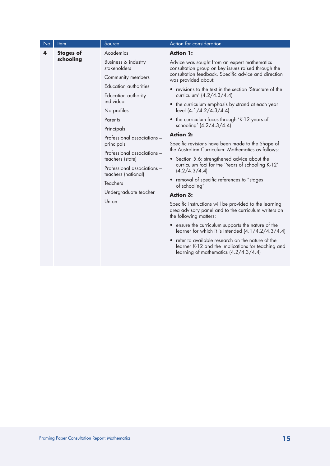| No | <u>Item</u>                                                              | Source                              | Action for consideration                                                                                                                        |
|----|--------------------------------------------------------------------------|-------------------------------------|-------------------------------------------------------------------------------------------------------------------------------------------------|
| 4  | <b>Stages of</b>                                                         | Academics                           | <b>Action 1:</b>                                                                                                                                |
|    | schooling                                                                | Business & industry<br>stakeholders | Advice was sought from an expert mathematics<br>consultation group on key issues raised through the                                             |
|    |                                                                          | Community members                   | consultation feedback. Specific advice and direction<br>was provided about:                                                                     |
|    |                                                                          | Education authorities               | • revisions to the text in the section 'Structure of the                                                                                        |
|    |                                                                          | Education authority -<br>individual | curriculum' (4.2/4.3/4.4)                                                                                                                       |
|    |                                                                          | No profiles                         | • the curriculum emphasis by strand at each year<br>level (4.1/4.2/4.3/4.4)                                                                     |
|    |                                                                          | Parents                             | the curriculum focus through 'K-12 years of                                                                                                     |
|    |                                                                          | Principals                          | schooling' (4.2/4.3/4.4)                                                                                                                        |
|    | principals<br>teachers (state)<br>teachers (national)<br><b>Teachers</b> | Professional associations -         | <b>Action 2:</b>                                                                                                                                |
|    |                                                                          |                                     | Specific revisions have been made to the Shape of<br>the Australian Curriculum: Mathematics as follows:                                         |
|    |                                                                          | Professional associations -         | • Section 5.6: strengthened advice about the                                                                                                    |
|    |                                                                          | Professional associations -         | curriculum foci for the 'Years of schooling K-12'<br>(4.2/4.3/4.4)                                                                              |
|    |                                                                          |                                     | • removal of specific references to "stages<br>of schooling"                                                                                    |
|    |                                                                          | Undergraduate teacher               | <b>Action 3:</b>                                                                                                                                |
|    | Union                                                                    |                                     | Specific instructions will be provided to the learning<br>area advisory panel and to the curriculum writers on<br>the following matters:        |
|    |                                                                          |                                     | • ensure the curriculum supports the nature of the<br>learner for which it is intended $(4.1/4.2/4.3/4.4)$                                      |
|    |                                                                          |                                     | refer to available research on the nature of the<br>learner K-12 and the implications for teaching and<br>learning of mathematics (4.2/4.3/4.4) |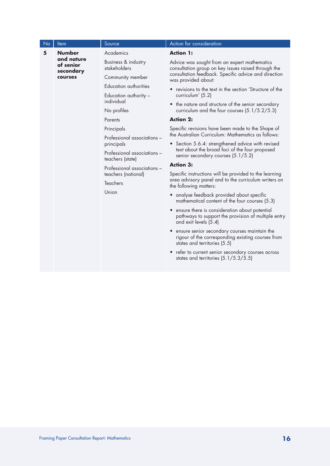| No | <b>Item</b>                                                                                                                                                                                  | Source                                                                                       | Action for consideration                                                                                                            |
|----|----------------------------------------------------------------------------------------------------------------------------------------------------------------------------------------------|----------------------------------------------------------------------------------------------|-------------------------------------------------------------------------------------------------------------------------------------|
| 5  | <b>Number</b>                                                                                                                                                                                | Academics                                                                                    | <b>Action 1:</b>                                                                                                                    |
|    | and nature<br>of senior<br>secondary                                                                                                                                                         | Business & industry<br>stakeholders                                                          | Advice was sought from an expert mathematics<br>consultation group on key issues raised through the                                 |
|    | courses                                                                                                                                                                                      | Community member                                                                             | consultation feedback. Specific advice and direction<br>was provided about:                                                         |
|    |                                                                                                                                                                                              | Education authorities                                                                        | • revisions to the text in the section 'Structure of the                                                                            |
|    |                                                                                                                                                                                              | Education authority -<br>individual                                                          | curriculum' (5.2)                                                                                                                   |
|    |                                                                                                                                                                                              | No profiles                                                                                  | • the nature and structure of the senior secondary<br>curriculum and the four courses (5.1/5.2/5.3)                                 |
|    |                                                                                                                                                                                              | Parents                                                                                      | <b>Action 2:</b>                                                                                                                    |
|    | Principals<br>Professional associations -<br>principals<br>Professional associations -<br>teachers (state)<br>Professional associations -<br>teachers (national)<br><b>Teachers</b><br>Union |                                                                                              | Specific revisions have been made to the Shape of<br>the Australian Curriculum: Mathematics as follows:                             |
|    |                                                                                                                                                                                              | • Section 5.6.4: strengthened advice with revised                                            |                                                                                                                                     |
|    |                                                                                                                                                                                              |                                                                                              | text about the broad foci of the four proposed<br>senior secondary courses (5.1/5.2)                                                |
|    |                                                                                                                                                                                              |                                                                                              | <b>Action 3:</b>                                                                                                                    |
|    |                                                                                                                                                                                              |                                                                                              | Specific instructions will be provided to the learning                                                                              |
|    |                                                                                                                                                                                              |                                                                                              | area advisory panel and to the curriculum writers on<br>the following matters:                                                      |
|    |                                                                                                                                                                                              | • analyse feedback provided about specific<br>mathematical content of the four courses (5.3) |                                                                                                                                     |
|    |                                                                                                                                                                                              |                                                                                              | • ensure there is consideration about potential<br>pathways to support the provision of multiple entry<br>and exit levels (5.4)     |
|    |                                                                                                                                                                                              |                                                                                              | • ensure senior secondary courses maintain the<br>rigour of the corresponding existing courses from<br>states and territories (5.5) |
|    |                                                                                                                                                                                              |                                                                                              | • refer to current senior secondary courses across<br>states and territories $(5.1/5.3/5.5)$                                        |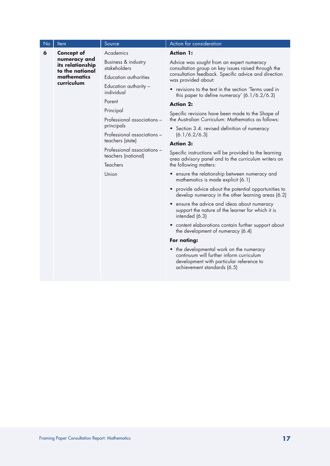| No | Item                                                             | Source                                                                         | Action for consideration                                                                                                                                        |  |
|----|------------------------------------------------------------------|--------------------------------------------------------------------------------|-----------------------------------------------------------------------------------------------------------------------------------------------------------------|--|
| 6  | <b>Concept of</b>                                                | Academics                                                                      | <b>Action 1:</b>                                                                                                                                                |  |
|    | its relationship<br>to the national<br>mathematics<br>curriculum | numeracy and<br>Business & industry<br>stakeholders                            | Advice was sought from an expert numeracy<br>consultation group on key issues raised through the                                                                |  |
|    |                                                                  | Education authorities                                                          | consultation feedback. Specific advice and direction<br>was provided about:                                                                                     |  |
|    |                                                                  | Education authority -<br>individual                                            | • revisions to the text in the section 'Terms used in<br>this paper to define numeracy' $(6.1/6.2/6.3)$                                                         |  |
|    |                                                                  | Parent                                                                         | <b>Action 2:</b>                                                                                                                                                |  |
|    |                                                                  | Principal<br>Professional associations -                                       | Specific revisions have been made to the Shape of<br>the Australian Curriculum: Mathematics as follows:                                                         |  |
|    |                                                                  | principals                                                                     | • Section 3.4: revised definition of numeracy                                                                                                                   |  |
|    |                                                                  | Professional associations -<br>teachers (state)                                | (6.1/6.2/6.3)                                                                                                                                                   |  |
|    |                                                                  | Professional associations -<br>teachers (national)<br><b>Teachers</b><br>Union | <b>Action 3:</b>                                                                                                                                                |  |
|    |                                                                  |                                                                                | Specific instructions will be provided to the learning<br>area advisory panel and to the curriculum writers on<br>the following matters:                        |  |
|    |                                                                  |                                                                                | • ensure the relationship between numeracy and<br>mathematics is made explicit (6.1)                                                                            |  |
|    |                                                                  |                                                                                | • provide advice about the potential opportunities to<br>develop numeracy in the other learning areas (6.2)                                                     |  |
|    |                                                                  |                                                                                | • ensure the advice and ideas about numeracy<br>support the nature of the learner for which it is<br>intended (6.3)                                             |  |
|    |                                                                  |                                                                                | • content elaborations contain further support about<br>the development of numeracy (6.4)                                                                       |  |
|    |                                                                  |                                                                                | For noting:                                                                                                                                                     |  |
|    |                                                                  |                                                                                | • the developmental work on the numeracy<br>continuum will further inform curriculum<br>development with particular reference to<br>achievement standards (6.5) |  |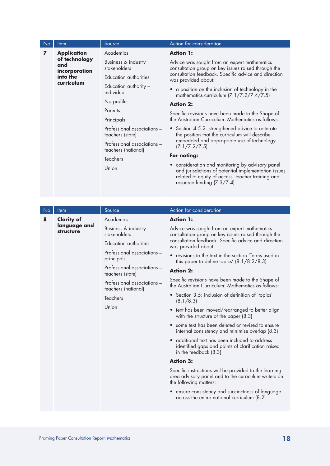| <b>No</b> | Item                                       | Source                                             | Action for consideration                                                                                                                                                                      |
|-----------|--------------------------------------------|----------------------------------------------------|-----------------------------------------------------------------------------------------------------------------------------------------------------------------------------------------------|
| 7         | <b>Application</b><br>of technology<br>and | Academics                                          | <b>Action 1:</b>                                                                                                                                                                              |
|           |                                            | incorporation                                      | Business & industry<br>stakeholders                                                                                                                                                           |
|           | into the                                   | Education authorities                              | consultation feedback. Specific advice and direction<br>was provided about:                                                                                                                   |
|           | curriculum                                 | Education authority -<br>individual                | a position on the inclusion of technology in the<br>$\bullet$<br>mathematics curriculum (7.1/7.2/7.4/7.5)                                                                                     |
|           |                                            | No profile                                         | <b>Action 2:</b>                                                                                                                                                                              |
|           |                                            | Parents                                            | Specific revisions have been made to the Shape of                                                                                                                                             |
|           |                                            | Principals                                         | the Australian Curriculum: Mathematics as follows:                                                                                                                                            |
|           |                                            | Professional associations -<br>teachers (state)    | • Section 4.5.2: strengthened advice to reiterate<br>the position that the curriculum will describe                                                                                           |
|           |                                            | Professional associations -<br>teachers (national) | embedded and appropriate use of technology<br>(7.1/7.2/7.5)                                                                                                                                   |
|           |                                            | <b>Teachers</b>                                    | For noting:                                                                                                                                                                                   |
|           |                                            | Union                                              | • consideration and monitoring by advisory panel<br>and jurisdictions of potential implementation issues<br>related to equity of access, teacher training and<br>resource funding $(7.3/7.4)$ |
|           |                                            |                                                    |                                                                                                                                                                                               |

| <b>No</b> | <b>Item</b>               | Source                                                             | Action for consideration                                                                                                                 |
|-----------|---------------------------|--------------------------------------------------------------------|------------------------------------------------------------------------------------------------------------------------------------------|
| 8         | <b>Clarity of</b>         | Academics                                                          | <b>Action 1:</b>                                                                                                                         |
|           | language and<br>structure | Business & industry<br>stakeholders                                | Advice was sought from an expert mathematics<br>consultation group on key issues raised through the                                      |
|           |                           | Education authorities<br>Professional associations -<br>principals | consultation feedback. Specific advice and direction<br>was provided about:                                                              |
|           |                           |                                                                    | • revisions to the text in the section 'Terms used in<br>this paper to define topics' $(8.1/8.2/8.3)$                                    |
|           |                           | Professional associations -<br>teachers (state)                    | <b>Action 2:</b>                                                                                                                         |
|           |                           | Professional associations -<br>teachers (national)                 | Specific revisions have been made to the Shape of<br>the Australian Curriculum: Mathematics as follows:                                  |
|           |                           | <b>Teachers</b><br>Union                                           | • Section 3.5: inclusion of definition of 'topics'<br>(8.1/8.3)                                                                          |
|           |                           |                                                                    | • text has been moved/rearranged to better align<br>with the structure of the paper (8.3)                                                |
|           |                           |                                                                    | some text has been deleted or revised to ensure<br>internal consistency and minimise overlap (8.3)                                       |
|           |                           |                                                                    | • additional text has been included to address<br>identified gaps and points of clarification raised<br>in the feedback (8.3)            |
|           |                           |                                                                    | <b>Action 3:</b>                                                                                                                         |
|           |                           |                                                                    | Specific instructions will be provided to the learning<br>area advisory panel and to the curriculum writers on<br>the following matters: |
|           |                           |                                                                    | • ensure consistency and succinctness of language<br>across the entire national curriculum (8.2)                                         |
|           |                           |                                                                    |                                                                                                                                          |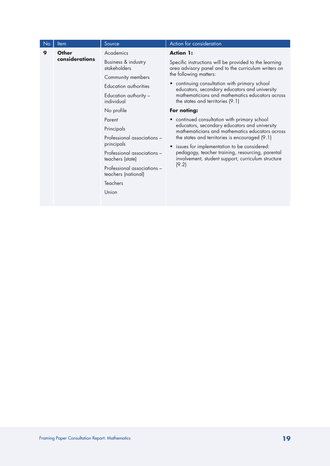| No | <b>Item</b>    | Source                                             | Action for consideration                                                                                       |
|----|----------------|----------------------------------------------------|----------------------------------------------------------------------------------------------------------------|
| 9  | <b>Other</b>   | Academics                                          | <b>Action 1:</b>                                                                                               |
|    | considerations | Business & industry<br>stakeholders                | Specific instructions will be provided to the learning<br>area advisory panel and to the curriculum writers on |
|    |                | Community members                                  | the following matters:                                                                                         |
|    |                | Education authorities                              | • continuing consultation with primary school<br>educators, secondary educators and university                 |
|    |                | Education authority -<br>individual                | mathematicians and mathematics educators across<br>the states and territories (9.1)                            |
|    |                | No profile                                         | For noting:                                                                                                    |
|    |                | Parent                                             | • continued consultation with primary school                                                                   |
|    |                | Principals                                         | educators, secondary educators and university<br>mathematicians and mathematics educators across               |
|    |                | Professional associations -                        | the states and territories is encouraged (9.1)                                                                 |
|    |                | principals                                         | issues for implementation to be considered:                                                                    |
|    |                | Professional associations -<br>teachers (state)    | pedagogy, teacher training, resourcing, parental<br>involvement, student support, curriculum structure         |
|    |                | Professional associations -<br>teachers (national) | (9.2)                                                                                                          |
|    |                | <b>Teachers</b>                                    |                                                                                                                |
|    |                | Union                                              |                                                                                                                |
|    |                |                                                    |                                                                                                                |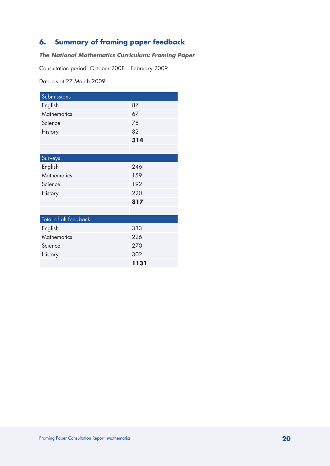## **6. Summary of framing paper feedback**

## *The National Mathematics Curriculum: Framing Paper*

Consultation period: October 2008 – February 2009

Data as at 27 March 2009

| Submissions           |      |
|-----------------------|------|
| English               | 87   |
| <b>Mathematics</b>    | 67   |
| Science               | 78   |
| History               | 82   |
|                       | 314  |
|                       |      |
| Surveys               |      |
| English               | 246  |
| <b>Mathematics</b>    | 159  |
| Science               | 192  |
| History               | 220  |
|                       | 817  |
|                       |      |
| Total of all feedback |      |
| English               | 333  |
| <b>Mathematics</b>    | 226  |
| Science               | 270  |
| History               | 302  |
|                       | 1131 |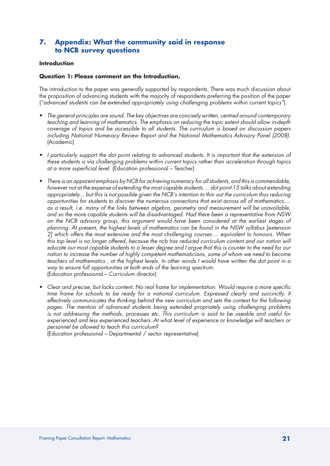## **7. Appendix: What the community said in response to NCB survey questions**

## **Introduction**

## **Question 1: Please comment on the Introduction.**

The introduction to the paper was generally supported by respondents. There was much discussion about the proposition of advancing students with the majority of respondents preferring the position of the paper (*"advanced students can be extended appropriately using challenging problems within current topics"*).

- *The general principles are sound. The key objectives are concisely written, centred around contemporary teaching and learning of mathematics. The emphasis on reducing the topic extent should allow in-depth coverage of topics and be accessible to all students. The curriculum is based on discussion papers including National Numeracy Review Report and the National Mathematics Advisory Panel (2008).*  (Academic)
- *I particularly support the dot point relating to advanced students. It is important that the extension of these students is via challenging problems within current topics rather than acceleration through topics at a more superficial level.* (Education professional – Teacher)
- *There is an apparent emphasis by NCB for achieving numeracy for all students, and this is commendable, however not at the expense of extending the most capable students.... dot point 15 talks about extending appropriately... but this is not possible given the NCB's intention to thin out the curriculum thus reducing opportunities for students to discover the numerous connections that exist across all of mathematics.... as a result, i.e. many of the links between algebra, geometry and measurement will be unavailable, and so the more capable students will be disadvantaged. Had there been a representative from NSW on the NCB advisory group, this argument would have been considered at the earliest stages of planning. At present, the highest levels of mathematics can be found in the NSW syllabus [extension 2] which offers the most extensive and the most challenging courses.... equivalent to honours. When this top level is no longer offered, because the ncb has reduced curriculum content and our nation will educate our most capable students to a lesser degree and I argue that this is counter to the need for our nation to increase the number of highly competent mathematicians, some of whom we need to become teachers of mathematics , at the highest levels. In other words I would have written the dot point in a way to ensure full opportunities at both ends of the learning spectrum.*  (Education professional – Curriculum director)
- *Clear and precise, but lacks content. No real frame for implementation. Would require a more specific*  time frame for schools to be ready for a national curriculum. Expressed clearly and succinctly. It *effectively communicates the thinking behind the new curriculum and sets the context for the following pages. The mention of advanced students being extended propriately using challenging problems is not addressing the methods, processes etc. This curriculum is said to be useable and useful for experienced and less experienced teachers. At what level of experience or knowledge will teachers or personnel be allowed to teach this curriculum?*

(Education professional – Departmental / sector representative)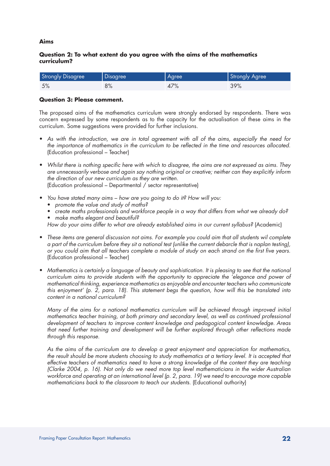## **Aims**

## **Question 2: To what extent do you agree with the aims of the mathematics curriculum?**

| <b>Strongly Disagree</b> | Disagree | Agree | Strongly Agree |
|--------------------------|----------|-------|----------------|
| 5%                       | 8%       | 47%   | 39%            |

#### **Question 3: Please comment.**

The proposed aims of the mathematics curriculum were strongly endorsed by respondents. There was concern expressed by some respondents as to the capacity for the actualisation of these aims in the curriculum. Some suggestions were provided for further inclusions.

- As with the introduction, we are in total agreement with all of the aims, especially the need for *the importance of mathematics in the curriculum to be reflected in the time and resources allocated.*  (Education professional – Teacher)
- *Whilst there is nothing specific here with which to disagree, the aims are not expressed as aims. They are unnecessarily verbose and again say nothing original or creative; neither can they explicitly inform the direction of our new curriculum as they are written.*  (Education professional – Departmental / sector representative)
- *You have stated many aims how are you going to do it? How will you:* 
	- • *promote the value and study of maths?*
	- create maths professionals and workforce people in a way that differs from what we already do?
	- • *make maths elegant and beautiful?*

*How do your aims differ to what are already established aims in our current syllabus?* (Academic)

- *These items are general discussion not aims. For example you could aim that all students wil complete a part of the curriculum before they sit a national test (unlike the current debarcle that is naplan testing), or you could aim that all teachers complete a module of study on each strand on the first five years.*  (Education professional – Teacher)
- *Mathematics is certainly a language of beauty and sophistication. It is pleasing to see that the national curriculum aims to provide students with the opportunity to appreciate the 'elegance and power of mathematical thinking, experience mathematics as enjoyable and encounter teachers who communicate this enjoyment' (p. 2, para. 18). This statement begs the question, how will this be translated into content in a national curriculum?*

*Many of the aims for a national mathematics curriculum will be achieved through improved initial mathematics teacher training, at both primary and secondary level, as well as continued professional development of teachers to improve content knowledge and pedagogical content knowledge. Areas that need further training and development will be further explored through other reflections made through this response.*

*As the aims of the curriculum are to develop a great enjoyment and appreciation for mathematics, the result should be more students choosing to study mathematics at a tertiary level. It is accepted that effective teachers of mathematics need to have a strong knowledge of the content they are teaching (Clarke 2004, p. 16). Not only do we need more top level mathematicians in the wider Australian workforce and operating at an international level (p. 2, para. 19) we need to encourage more capable mathematicians back to the classroom to teach our students.* (Educational authority)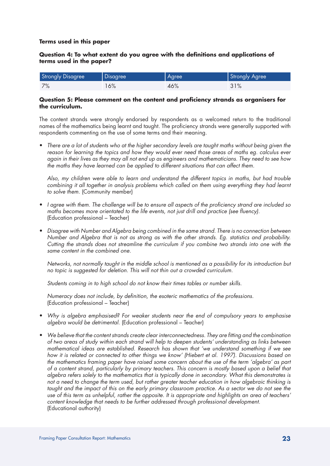## **Terms used in this paper**

## **Question 4: To what extent do you agree with the definitions and applications of terms used in the paper?**

| <b>Strongly Disagree</b> | Disagree | Agree | Strongly Agree |
|--------------------------|----------|-------|----------------|
| 7%                       | 16%      | 46%   | 31%            |

## **Question 5: Please comment on the content and proficiency strands as organisers for the curriculum.**

The content strands were strongly endorsed by respondents as a welcomed return to the traditional names of the mathematics being learnt and taught. The proficiency strands were generally supported with respondents commenting on the use of some terms and their meaning.

• *There are a lot of students who at the higher secondary levels are taught maths without being given the*  reason for learning the topics and how they would ever need those areas of maths eg. calculus ever *again in their lives as they may all not end up as engineers and mathematicians. They need to see how the maths they have learned can be applied to different situations that can affect them.*

*Also, my children were able to learn and understand the different topics in maths, but had trouble combining it all together in analysis problems which called on them using everything they had learnt to solve them.* (Community member)

- *I agree with them. The challenge will be to ensure all aspects of the proficiency strand are included so maths becomes more orientated to the life events, not just drill and practice (see fluency).*  (Education professional – Teacher)
- *Disagree with Number and Algebra being combined in the same strand. There is no connection between Number and Algebra that is not as strong as with the other strands. Eg. statistics and probability. Cutting the strands does not streamline the curriculum if you combine two strands into one with the same content in the combined one.*

*Networks, not normally taught in the middle school is mentioned as a possibility for its introduction but no topic is suggested for deletion. This will not thin out a crowded curriculum.*

*Students coming in to high school do not know their times tables or number skills.* 

*Numeracy does not include, by definition, the esoteric mathematics of the professions.*  (Education professional – Teacher)

- *Why is algebra emphasised? For weaker students near the end of compulsory years to emphasise algebra would be detrimental.* (Education professional – Teacher)
- *We believe that the content strands create clear interconnectedness. They are fitting and the combination of two areas of study within each strand will help to deepen students' understanding as links between mathematical ideas are established. Research has shown that 'we understand something if we see how it is related or connected to other things we know' (Hiebert et al. 1997). Discussions based on the mathematics framing paper have raised some concern about the use of the term 'algebra' as part of a content strand, particularly by primary teachers. This concern is mostly based upon a belief that algebra refers solely to the mathematics that is typically done in secondary. What this demonstrates is not a need to change the term used, but rather greater teacher education in how algebraic thinking is*  taught and the impact of this on the early primary classroom practice. As a sector we do not see the *use of this term as unhelpful, rather the opposite. It is appropriate and highlights an area of teachers' content knowledge that needs to be further addressed through professional development.*  (Educational authority)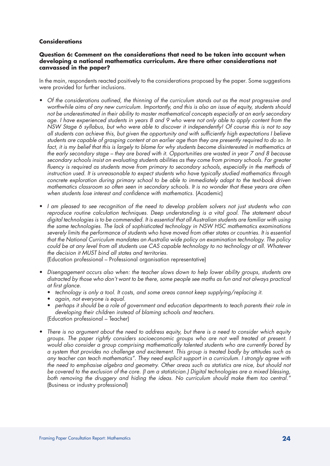#### **Considerations**

## **Question 6: Comment on the considerations that need to be taken into account when developing a national mathematics curriculum. Are there other considerations not canvassed in the paper?**

In the main, respondents reacted positively to the considerations proposed by the paper. Some suggestions were provided for further inclusions.

- *Of the considerations outlined, the thinning of the curriculum stands out as the most progressive and worthwhile aims of any new curriculum. Importantly, and this is also an issue of equity, students should not be underestimated in their ability to master mathematical concepts especially at an early secondary age. I have experienced students in years 8 and 9 who were not only able to apply content from the NSW Stage 6 syllabus, but who were able to discover it independently! Of course this is not to say all students can achieve this, but given the opportunity and with sufficiently high expectations I believe students are capable of grasping content at an earlier age than they are presently required to do so. In*  fact, it is my belief that this is largely to blame for why students become disinterested in mathematics at *the early secondary stage – they are bored with it. Opportunities are wasted in year 7 and 8 because secondary schools insist on evaluating students abilities as they come from primary schools. Far greater fluency is required as students move from primary to secondary schools, especially in the methods of instruction used. It is unreasonable to expect students who have typically studied mathematics through concrete exploration during primary school to be able to immediately adapt to the text-book driven mathematics classroom so often seen in secondary schools. It is no wonder that these years are often*  when students lose interest and confidence with mathematics. (Academic)
- *I am pleased to see recognition of the need to develop problem solvers not just students who can reproduce routine calculation techniques. Deep understanding is a vital goal. The statement about digital technologies is to be commended. It is essential that all Australian students are familiar with using the same technologies. The lack of sophisticated technology in NSW HSC mathematics examinations severely limits the performance of students who have moved from other states or countries. It is essential that the National Curriculum mandates an Australia wide policy on examination technology. The policy could be at any level from all students use CAS capable technology to no technology at all. Whatever the decision it MUST bind all states and territories.*

(Education professional – Professional organisation representative)

- *Disengagement occurs also when: the teacher slows down to help lower ability groups, students are distracted by those who don't want to be there, some people see maths as fun and not always practical at first glance.*
	- *technology is only a tool. It costs, and some areas cannot keep supplying/replacing it.*
	- *again, not everyone is equal.*
	- • *perhaps it should be a role of government and education departments to teach parents their role in developing their children instead of blaming schools and teachers.*

(Education professional – Teacher)

• *There is no argument about the need to address equity, but there is a need to consider which equity groups. The paper rightly considers socioeconomic groups who are not well treated at present. I would also consider a group comprising mathematically talented students who are currently bored by a system that provides no challenge and excitement. This group is treated badly by attitudes such as any teacher can teach mathematics". They need explicit support in a curriculum. I strongly agree with the need to emphasise algebra and geometry. Other areas such as statistics are nice, but should not be covered to the exclusion of the core. (I am a statistician.) Digital technologies are a mixed blessing, both removing the druggery and hiding the ideas. No curriculum should make them too central."*  (Business or industry professional)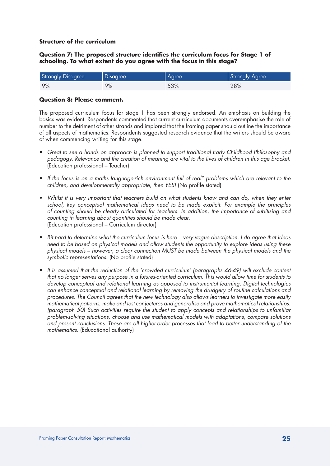## **Structure of the curriculum**

## **Question 7: The proposed structure identifies the curriculum focus for Stage 1 of schooling. To what extent do you agree with the focus in this stage?**

| <b>Strongly Disagree</b> | Disagree | <b>Agree</b> | Strongly Agree |
|--------------------------|----------|--------------|----------------|
| 9%                       | 9%       | 53%          | 28%            |

## **Question 8: Please comment.**

The proposed curriculum focus for stage 1 has been strongly endorsed. An emphasis on building the basics was evident. Respondents commented that current curriculum documents overemphasise the role of number to the detriment of other strands and implored that the framing paper should outline the importance of all aspects of mathematics. Respondents suggested research evidence that the writers should be aware of when commencing writing for this stage.

- • *Great to see a hands on approach is planned to support traditional Early Childhood Philosophy and pedagogy. Relevance and the creation of meaning are vital to the lives of children in this age bracket.*  (Education professional – Teacher)
- *If the focus is on a maths language-rich environment full of real" problems which are relevant to the children, and developmentally appropriate, then YES!* (No profile stated)
- *Whilst it is very important that teachers build on what students know and can do, when they enter school, key conceptual mathematical ideas need to be made explicit. For example the principles of counting should be clearly articulated for teachers. In addition, the importance of subitising and counting in learning about quantities should be made clear.*  (Education professional – Curriculum director)
- *Bit hard to determine what the curriculum focus is here very vague description. I do agree that ideas need to be based on physical models and allow students the opportunity to explore ideas using these physical models – however, a clear connection MUST be made between the physical models and the symbolic representations.* (No profile stated)
- *It is assumed that the reduction of the 'crowded curriculum' (paragraphs 46-49) will exclude content that no longer serves any purpose in a futures-oriented curriculum. This would allow time for students to develop conceptual and relational learning as opposed to instrumental learning. Digital technologies can enhance conceptual and relational learning by removing the drudgery of routine calculations and procedures. The Council agrees that the new technology also allows learners to investigate more easily mathematical patterns, make and test conjectures and generalise and prove mathematical relationships. (paragraph 50) Such activities require the student to apply concepts and relationships to unfamiliar problem-solving situations, choose and use mathematical models with adaptations, compare solutions and present conclusions. These are all higher-order processes that lead to better understanding of the mathematics.* (Educational authority)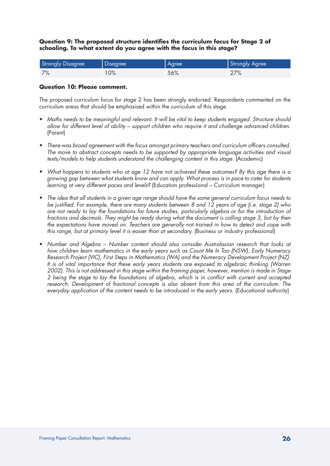## **Question 9: The proposed structure identifies the curriculum focus for Stage 2 of schooling. To what extent do you agree with the focus in this stage?**

| <b>Strongly Disagree</b> | Disagree | Agree | Strongly Agree |
|--------------------------|----------|-------|----------------|
| 7%                       | 0%       | 56%   | 27%            |

## **Question 10: Please comment.**

The proposed curriculum focus for stage 2 has been strongly endorsed. Respondents commented on the curriculum areas that should be emphasised within the curriculum of this stage.

- • *Maths needs to be meaningful and relevant. It will be vital to keep students engaged. Structure should allow for different level of ability – support children who require it and challenge advanced children.*  (Parent)
- • *There was broad agreement with the focus amongst primary teachers and curriculum officers consulted. The move to abstract concepts needs to be supported by appropriate language activities and visual*  texts/models to help students understand the challenging content in this stage. (Academic)
- What happens to students who at age 12 have not achieved these outcomes? By this age there is a *growing gap between what students know and can apply. What process is in pace to cater for students learning at very different paces and levels?* (Education professional – Curriculum manager)
- • *The idea that all students in a given age range should have the same general curriculum focus needs to be justified. For example, there are many students between 8 and 12 years of age (i.e. stage 2) who are not ready to lay the foundations for future studies, particularly algebra or for the introduction of fractions and decimals. They might be ready during what the document is calling stage 3, but by then the expectations have moved on. Teachers are generally not trained in how to detect and cope with this range, but at primary level it is easier than at secondary.* (Business or industry professional)
- Number and Algebra Number content should also consider Australasian research that looks at *how children learn mathematics in the early years such as Count Me In Too (NSW), Early Numeracy Research Project (VIC), First Steps in Mathematics (WA) and the Numeracy Development Project (NZ). It is of vital importance that these early years students are exposed to algebraic thinking (Warren 2002). This is not addressed in this stage within the framing paper, however, mention is made in Stage 2 being the stage to lay the foundations of algebra, which is in conflict with current and accepted*  research. Development of fractional concepts is also absent from this area of the curriculum. The *everyday application of the content needs to be introduced in the early years.* (Educational authority)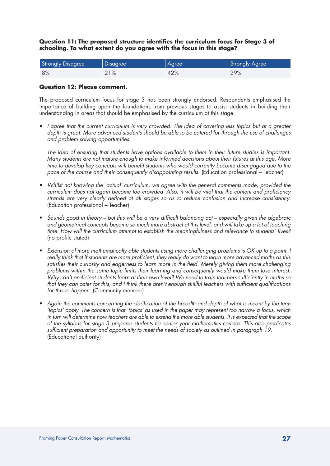## **Question 11: The proposed structure identifies the curriculum focus for Stage 3 of schooling. To what extent do you agree with the focus in this stage?**

| <b>Strongly Disagree</b> | Disagree | Agree | Strongly Agree |
|--------------------------|----------|-------|----------------|
| 8%                       | 21%      | 42%   | 29%            |

## **Question 12: Please comment.**

The proposed curriculum focus for stage 3 has been strongly endorsed. Respondents emphasised the importance of building upon the foundations from previous stages to assist students in building their understanding in areas that should be emphasised by the curriculum at this stage.

• I agree that the current curriculum is very crowded. The idea of covering less topics but at a greater *depth is great. More advanced students should be able to be catered for through the use of challenges and problem solving opportunities.* 

*The idea of ensuring that students have options available to them in their future studies is important. Many students are not mature enough to make informed decisions about their futures at this age. More time to develop key concepts will benefit students who would currently become disengaged due to the*  pace of the course and their consequently disappointing results. (Education professional – Teacher)

- Whilst not knowing the 'actual' curriculum, we agree with the general comments made, provided the *curriculum does not again become too crowded. Also, it will be vital that the content and proficiency strands are very clearly defined at all stages so as to reduce confusion and increase consistency.*  (Education professional – Teacher)
- • *Sounds good in theory but this will be a very difficult balancing act especially given the algebraic and geometrical concepts become so much more abstract at this level, and will take up a lot of teaching time. How will the curriculum attempt to establish the meaningfulness and relevance to students' lives?*  (no profile stated)
- Extension of more mathematically able students using more challenging problems is OK up to a point. I *really think that if students are more proficient, they really do want to learn more advanced maths as this satisfies their curiosity and eagerness to learn more in the field. Merely giving them more challenging problems within the same topic limits their learning and consequently would make them lose interest. Why can't proficient students learn at their own level? We need to train teachers sufficiently in maths so that they can cater for this, and I think there aren't enough skillful teachers with sufficient qualifications for this to happen.* (Community member)
- Again the comments concerning the clarification of the breadth and depth of what is meant by the term *'topics' apply. The concern is that 'topics' as used in the paper may represent too narrow a focus, which in turn will determine how teachers are able to extend the more able students. It is expected that the scope of the syllabus for stage 3 prepares students for senior year mathematics courses. This also predicates sufficient preparation and opportunity to meet the needs of society as outlined in paragraph 19.*  (Educational authority)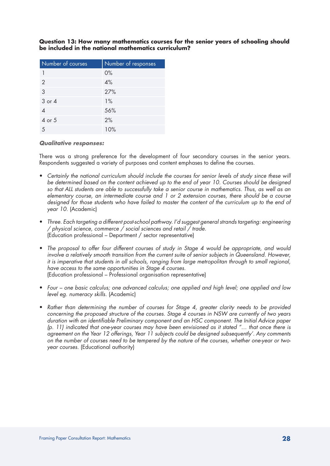| Number of courses | Number of responses |
|-------------------|---------------------|
|                   | $0\%$               |
| $\overline{2}$    | 4%                  |
| 3                 | 27%                 |
| $3$ or $4$        | 1%                  |
|                   | 56%                 |
| 4 or 5            | 2%                  |
| .5                | 10%                 |

## **Question 13: How many mathematics courses for the senior years of schooling should be included in the national mathematics curriculum?**

## *Qualitative responses:*

There was a strong preference for the development of four secondary courses in the senior years. Respondents suggested a variety of purposes and content emphases to define the courses.

- Certainly the national curriculum should include the courses for senior levels of study since these will be determined based on the content achieved up to the end of year 10. Courses should be designed *so that ALL students are able to successfully take a senior course in mathematics. Thus, as well as an elementary course, an intermediate course and 1 or 2 extension courses, there should be a course designed for those students who have failed to master the content of the curriculum up to the end of year 10.* (Academic)
- Three. Each targeting a different post-school pathway. I'd suggest general strands targeting: engineering */ physical science, commerce / social sciences and retail / trade.*  (Education professional – Department / sector representative)
- The proposal to offer four different courses of study in Stage 4 would be appropriate, and would *involve a relatively smooth transition from the current suite of senior subjects in Queensland. However, it is imperative that students in all schools, ranging from large metropolitan through to small regional, have access to the same opportunities in Stage 4 courses.*  (Education professional – Professional organisation representative)
- • *Four one basic calculus; one advanced calculus; one applied and high level; one applied and low level eg. numeracy skills.* (Academic)
- • *Rather than determining the number of courses for Stage 4, greater clarity needs to be provided concerning the proposed structure of the courses. Stage 4 courses in NSW are currently of two years duration with an identifiable Preliminary component and an HSC component. The Initial Advice paper (p. 11) indicated that one-year courses may have been envisioned as it stated "… that once there is agreement on the Year 12 offerings, Year 11 subjects could be designed subsequently'. Any comments on the number of courses need to be tempered by the nature of the courses, whether one-year or twoyear courses.* (Educational authority)